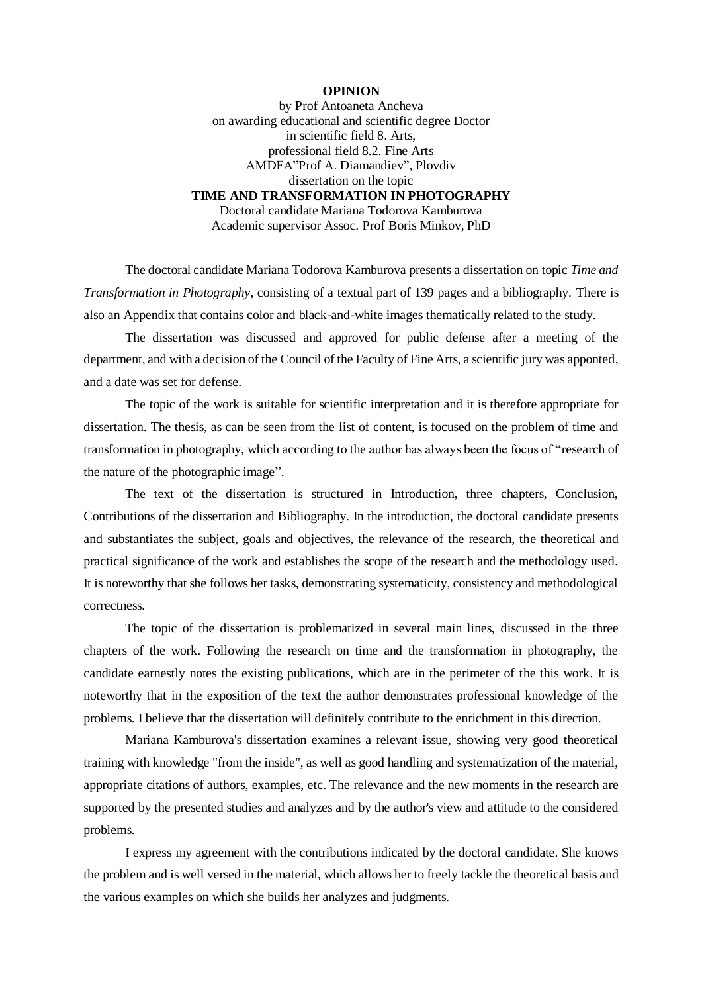## **OPINION**

by Prof Antoaneta Ancheva on awarding educational and scientific degree Doctor in scientific field 8. Arts, professional field 8.2. Fine Arts AMDFA"Prof A. Diamandiev", Plovdiv dissertation on the topic **TIME AND TRANSFORMATION IN PHOTOGRAPHY** Doctoral candidate Mariana Todorova Kamburova

Academic supervisor Assoc. Prof Boris Minkov, PhD

The doctoral candidate Mariana Todorova Kamburova presents a dissertation on topic *Time and Transformation in Photography*, consisting of a textual part of 139 pages and a bibliography. There is also an Appendix that contains color and black-and-white images thematically related to the study.

The dissertation was discussed and approved for public defense after a meeting of the department, and with a decision of the Council of the Faculty of Fine Arts, a scientific jury was apponted, and a date was set for defense.

The topic of the work is suitable for scientific interpretation and it is therefore appropriate for dissertation. The thesis, as can be seen from the list of content, is focused on the problem of time and transformation in photography, which according to the author has always been the focus of "research of the nature of the photographic image".

The text of the dissertation is structured in Introduction, three chapters, Conclusion, Contributions of the dissertation and Bibliography. In the introduction, the doctoral candidate presents and substantiates the subject, goals and objectives, the relevance of the research, the theoretical and practical significance of the work and establishes the scope of the research and the methodology used. It is noteworthy that she follows her tasks, demonstrating systematicity, consistency and methodological correctness.

The topic of the dissertation is problematized in several main lines, discussed in the three chapters of the work. Following the research on time and the transformation in photography, the candidate earnestly notes the existing publications, which are in the perimeter of the this work. It is noteworthy that in the exposition of the text the author demonstrates professional knowledge of the problems. I believe that the dissertation will definitely contribute to the enrichment in this direction.

Mariana Kamburova's dissertation examines a relevant issue, showing very good theoretical training with knowledge "from the inside", as well as good handling and systematization of the material, appropriate citations of authors, examples, etc. The relevance and the new moments in the research are supported by the presented studies and analyzes and by the author's view and attitude to the considered problems.

I express my agreement with the contributions indicated by the doctoral candidate. She knows the problem and is well versed in the material, which allows her to freely tackle the theoretical basis and the various examples on which she builds her analyzes and judgments.